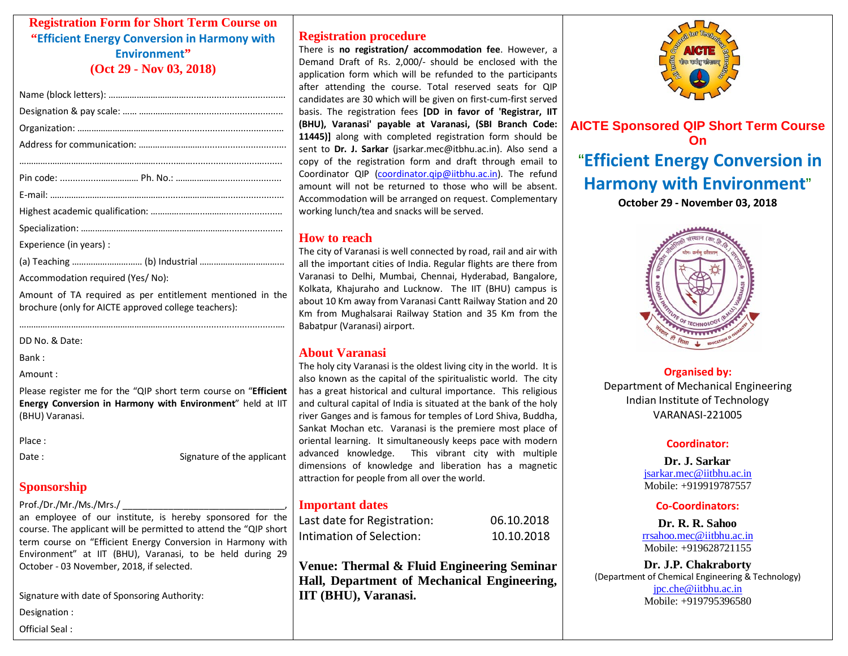# **Registration Form for Short Term Course on "Efficient Energy Conversion in Harmony with Environment" (Oct 29 - Nov 03, 2018)**

| Experience (in years) : |
|-------------------------|
|                         |

Accommodation required (Yes/ No):

Amount of TA required as per entitlement mentioned in the brochure (only for AICTE approved college teachers):

………….………………………………………….............................................…

DD No. & Date:

Bank :

Amount :

Please register me for the "QIP short term course on "**Efficient Energy Conversion in Harmony with Environment**" held at IIT (BHU) Varanasi.

Place :

Date : Signature of the applicant

# **Sponsorship**

#### Prof./Dr./Mr./Ms./Mrs./

an employee of our institute, is hereby sponsored for the course. The applicant will be permitted to attend the "QIP short term course on "Efficient Energy Conversion in Harmony with Environment" at IIT (BHU), Varanasi, to be held during 29 October - 03 November, 2018, if selected.

Signature with date of Sponsoring Authority:

Designation :

Official Seal :

# **Registration procedure**

There is **no registration/ accommodation fee**. However, a Demand Draft of Rs. 2,000/- should be enclosed with the application form which will be refunded to the participants after attending the course. Total reserved seats for QIP candidates are 30 which will be given on first-cum-first served basis. The registration fees **[DD in favor of 'Registrar, IIT (BHU), Varanasi' payable at Varanasi, (SBI Branch Code: 11445)]** along with completed registration form should be sent to **Dr. J. Sarkar** (jsarkar.mec@itbhu.ac.in). Also send a copy of the registration form and draft through email to Coordinator QIP [\(coordinator.qip@iitbhu.ac.in\)](mailto:coordinator.qip@iitbhu.ac.in). The refund amount will not be returned to those who will be absent. Accommodation will be arranged on request. Complementary working lunch/tea and snacks will be served.

# **How to reach**

The city of Varanasi is well connected by road, rail and air with all the important cities of India. Regular flights are there from Varanasi to Delhi, Mumbai, Chennai, Hyderabad, Bangalore, Kolkata, Khajuraho and Lucknow. The IIT (BHU) campus is about 10 Km away from Varanasi Cantt Railway Station and 20 Km from Mughalsarai Railway Station and 35 Km from the Babatpur (Varanasi) airport.

# **About Varanasi**

The holy city Varanasi is the oldest living city in the world. It is also known as the capital of the spiritualistic world. The city has a great historical and cultural importance. This religious and cultural capital of India is situated at the bank of the holy river Ganges and is famous for temples of Lord Shiva, Buddha, Sankat Mochan etc. Varanasi is the premiere most place of oriental learning. It simultaneously keeps pace with modern advanced knowledge. This vibrant city with multiple dimensions of knowledge and liberation has a magnetic attraction for people from all over the world.

### **Important dates**

| Last date for Registration: | 06.10.2018 |
|-----------------------------|------------|
| Intimation of Selection:    | 10.10.2018 |

**Venue: Thermal & Fluid Engineering Seminar Hall, Department of Mechanical Engineering, IIT (BHU), Varanasi.**



**AICTE Sponsored QIP Short Term Course On** "**Efficient Energy Conversion in Harmony with Environment**"

**October 29 - November 03, 2018**



### **Organised by:**

Department of Mechanical Engineering Indian Institute of Technology VARANASI-221005

#### **Coordinator:**

**Dr. J. Sarkar** [jsarkar.mec@iitbhu.ac.in](mailto:jsarkar.mec@iitbhu.ac.in) Mobile: +919919787557

#### **Co-Coordinators:**

**Dr. R. R. Sahoo** [rrsahoo.mec@iitbhu.ac.in](mailto:rrsahoo.mec@iitbhu.ac.in) Mobile: +919628721155

**Dr. J.P. Chakraborty** (Department of Chemical Engineering & Technology) [jpc.che@iitbhu.ac.in](mailto:jpc.che@iitbhu.ac.in) Mobile: +919795396580